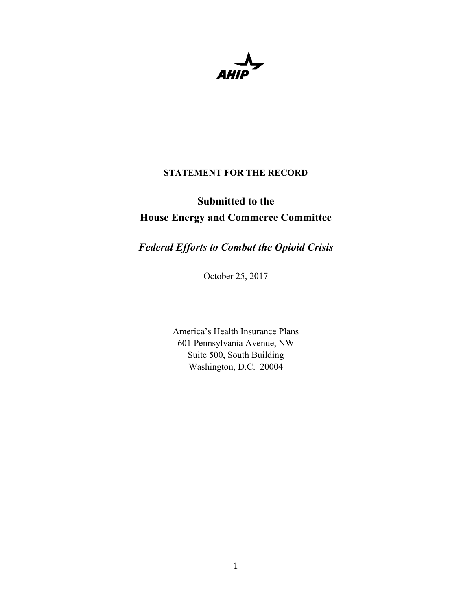## **STATEMENT FOR THE RECORD**

# **Submitted to the House Energy and Commerce Committee**

*Federal Efforts to Combat the Opioid Crisis*

October 25, 2017

America's Health Insurance Plans 601 Pennsylvania Avenue, NW Suite 500, South Building Washington, D.C. 20004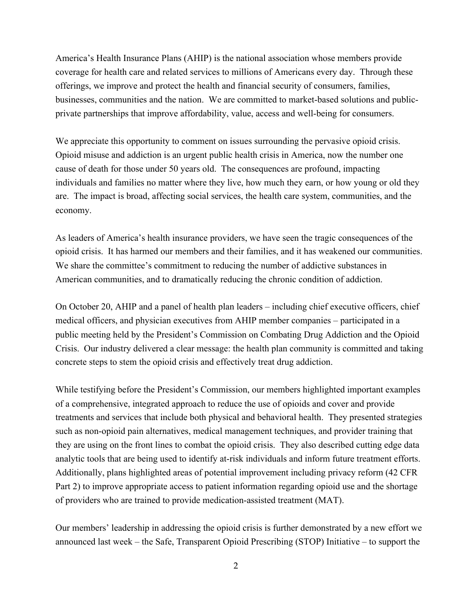America's Health Insurance Plans (AHIP) is the national association whose members provide coverage for health care and related services to millions of Americans every day. Through these offerings, we improve and protect the health and financial security of consumers, families, businesses, communities and the nation. We are committed to market-based solutions and publicprivate partnerships that improve affordability, value, access and well-being for consumers.

We appreciate this opportunity to comment on issues surrounding the pervasive opioid crisis. Opioid misuse and addiction is an urgent public health crisis in America, now the number one cause of death for those under 50 years old. The consequences are profound, impacting individuals and families no matter where they live, how much they earn, or how young or old they are. The impact is broad, affecting social services, the health care system, communities, and the economy.

As leaders of America's health insurance providers, we have seen the tragic consequences of the opioid crisis. It has harmed our members and their families, and it has weakened our communities. We share the committee's commitment to reducing the number of addictive substances in American communities, and to dramatically reducing the chronic condition of addiction.

On October 20, AHIP and a panel of health plan leaders – including chief executive officers, chief medical officers, and physician executives from AHIP member companies – participated in a public meeting held by the President's Commission on Combating Drug Addiction and the Opioid Crisis. Our industry delivered a clear message: the health plan community is committed and taking concrete steps to stem the opioid crisis and effectively treat drug addiction.

While testifying before the President's Commission, our members highlighted important examples of a comprehensive, integrated approach to reduce the use of opioids and cover and provide treatments and services that include both physical and behavioral health. They presented strategies such as non-opioid pain alternatives, medical management techniques, and provider training that they are using on the front lines to combat the opioid crisis. They also described cutting edge data analytic tools that are being used to identify at-risk individuals and inform future treatment efforts. Additionally, plans highlighted areas of potential improvement including privacy reform (42 CFR Part 2) to improve appropriate access to patient information regarding opioid use and the shortage of providers who are trained to provide medication-assisted treatment (MAT).

Our members' leadership in addressing the opioid crisis is further demonstrated by a new effort we announced last week – the Safe, Transparent Opioid Prescribing (STOP) Initiative – to support the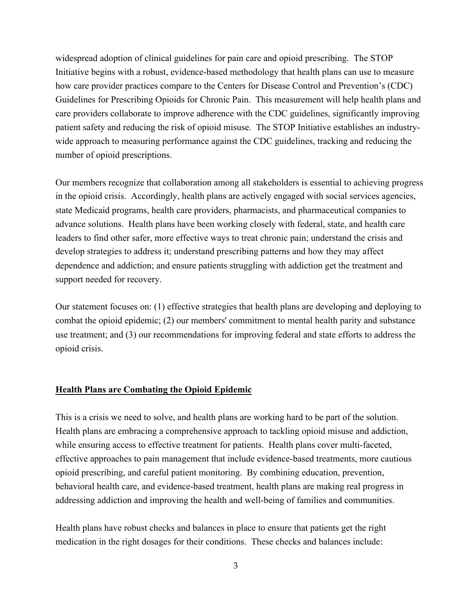widespread adoption of clinical guidelines for pain care and opioid prescribing. The STOP Initiative begins with a robust, evidence-based methodology that health plans can use to measure how care provider practices compare to the Centers for Disease Control and Prevention's (CDC) Guidelines for Prescribing Opioids for Chronic Pain. This measurement will help health plans and care providers collaborate to improve adherence with the CDC guidelines, significantly improving patient safety and reducing the risk of opioid misuse. The STOP Initiative establishes an industrywide approach to measuring performance against the CDC guidelines, tracking and reducing the number of opioid prescriptions.

Our members recognize that collaboration among all stakeholders is essential to achieving progress in the opioid crisis. Accordingly, health plans are actively engaged with social services agencies, state Medicaid programs, health care providers, pharmacists, and pharmaceutical companies to advance solutions. Health plans have been working closely with federal, state, and health care leaders to find other safer, more effective ways to treat chronic pain; understand the crisis and develop strategies to address it; understand prescribing patterns and how they may affect dependence and addiction; and ensure patients struggling with addiction get the treatment and support needed for recovery.

Our statement focuses on: (1) effective strategies that health plans are developing and deploying to combat the opioid epidemic; (2) our members' commitment to mental health parity and substance use treatment; and (3) our recommendations for improving federal and state efforts to address the opioid crisis.

### **Health Plans are Combating the Opioid Epidemic**

This is a crisis we need to solve, and health plans are working hard to be part of the solution. Health plans are embracing a comprehensive approach to tackling opioid misuse and addiction, while ensuring access to effective treatment for patients. Health plans cover multi-faceted, effective approaches to pain management that include evidence-based treatments, more cautious opioid prescribing, and careful patient monitoring. By combining education, prevention, behavioral health care, and evidence-based treatment, health plans are making real progress in addressing addiction and improving the health and well-being of families and communities.

Health plans have robust checks and balances in place to ensure that patients get the right medication in the right dosages for their conditions. These checks and balances include: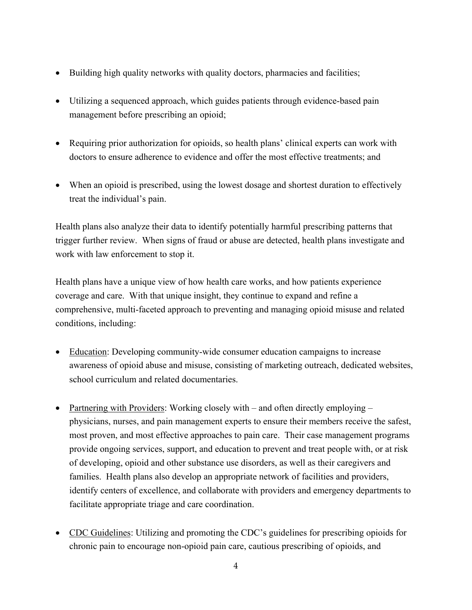- Building high quality networks with quality doctors, pharmacies and facilities;
- Utilizing a sequenced approach, which guides patients through evidence-based pain management before prescribing an opioid;
- Requiring prior authorization for opioids, so health plans' clinical experts can work with doctors to ensure adherence to evidence and offer the most effective treatments; and
- When an opioid is prescribed, using the lowest dosage and shortest duration to effectively treat the individual's pain.

Health plans also analyze their data to identify potentially harmful prescribing patterns that trigger further review. When signs of fraud or abuse are detected, health plans investigate and work with law enforcement to stop it.

Health plans have a unique view of how health care works, and how patients experience coverage and care. With that unique insight, they continue to expand and refine a comprehensive, multi-faceted approach to preventing and managing opioid misuse and related conditions, including:

- Education: Developing community-wide consumer education campaigns to increase awareness of opioid abuse and misuse, consisting of marketing outreach, dedicated websites, school curriculum and related documentaries.
- Partnering with Providers: Working closely with and often directly employing physicians, nurses, and pain management experts to ensure their members receive the safest, most proven, and most effective approaches to pain care. Their case management programs provide ongoing services, support, and education to prevent and treat people with, or at risk of developing, opioid and other substance use disorders, as well as their caregivers and families. Health plans also develop an appropriate network of facilities and providers, identify centers of excellence, and collaborate with providers and emergency departments to facilitate appropriate triage and care coordination.
- CDC Guidelines: Utilizing and promoting the CDC's guidelines for prescribing opioids for chronic pain to encourage non-opioid pain care, cautious prescribing of opioids, and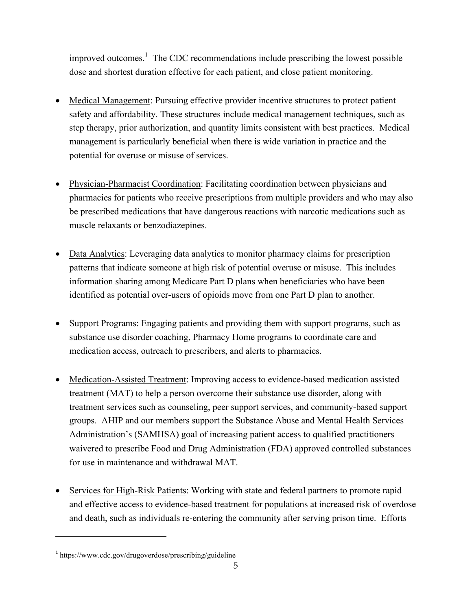improved outcomes. 1 The CDC recommendations include prescribing the lowest possible dose and shortest duration effective for each patient, and close patient monitoring.

- Medical Management: Pursuing effective provider incentive structures to protect patient safety and affordability. These structures include medical management techniques, such as step therapy, prior authorization, and quantity limits consistent with best practices. Medical management is particularly beneficial when there is wide variation in practice and the potential for overuse or misuse of services.
- Physician-Pharmacist Coordination: Facilitating coordination between physicians and pharmacies for patients who receive prescriptions from multiple providers and who may also be prescribed medications that have dangerous reactions with narcotic medications such as muscle relaxants or benzodiazepines.
- Data Analytics: Leveraging data analytics to monitor pharmacy claims for prescription patterns that indicate someone at high risk of potential overuse or misuse. This includes information sharing among Medicare Part D plans when beneficiaries who have been identified as potential over-users of opioids move from one Part D plan to another.
- Support Programs: Engaging patients and providing them with support programs, such as substance use disorder coaching, Pharmacy Home programs to coordinate care and medication access, outreach to prescribers, and alerts to pharmacies.
- Medication-Assisted Treatment: Improving access to evidence-based medication assisted treatment (MAT) to help a person overcome their substance use disorder, along with treatment services such as counseling, peer support services, and community-based support groups. AHIP and our members support the Substance Abuse and Mental Health Services Administration's (SAMHSA) goal of increasing patient access to qualified practitioners waivered to prescribe Food and Drug Administration (FDA) approved controlled substances for use in maintenance and withdrawal MAT.
- Services for High-Risk Patients: Working with state and federal partners to promote rapid and effective access to evidence-based treatment for populations at increased risk of overdose and death, such as individuals re-entering the community after serving prison time. Efforts

 $\ddot{\phantom{a}}$ 

 $1$  https://www.cdc.gov/drugoverdose/prescribing/guideline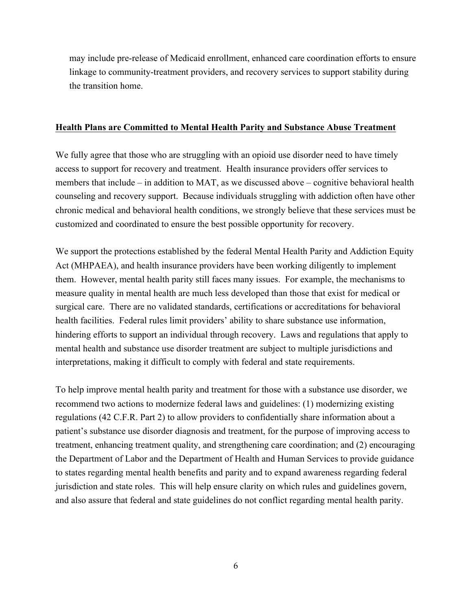may include pre-release of Medicaid enrollment, enhanced care coordination efforts to ensure linkage to community-treatment providers, and recovery services to support stability during the transition home.

#### **Health Plans are Committed to Mental Health Parity and Substance Abuse Treatment**

We fully agree that those who are struggling with an opioid use disorder need to have timely access to support for recovery and treatment. Health insurance providers offer services to members that include – in addition to MAT, as we discussed above – cognitive behavioral health counseling and recovery support. Because individuals struggling with addiction often have other chronic medical and behavioral health conditions, we strongly believe that these services must be customized and coordinated to ensure the best possible opportunity for recovery.

We support the protections established by the federal Mental Health Parity and Addiction Equity Act (MHPAEA), and health insurance providers have been working diligently to implement them. However, mental health parity still faces many issues. For example, the mechanisms to measure quality in mental health are much less developed than those that exist for medical or surgical care. There are no validated standards, certifications or accreditations for behavioral health facilities. Federal rules limit providers' ability to share substance use information, hindering efforts to support an individual through recovery. Laws and regulations that apply to mental health and substance use disorder treatment are subject to multiple jurisdictions and interpretations, making it difficult to comply with federal and state requirements.

To help improve mental health parity and treatment for those with a substance use disorder, we recommend two actions to modernize federal laws and guidelines: (1) modernizing existing regulations (42 C.F.R. Part 2) to allow providers to confidentially share information about a patient's substance use disorder diagnosis and treatment, for the purpose of improving access to treatment, enhancing treatment quality, and strengthening care coordination; and (2) encouraging the Department of Labor and the Department of Health and Human Services to provide guidance to states regarding mental health benefits and parity and to expand awareness regarding federal jurisdiction and state roles. This will help ensure clarity on which rules and guidelines govern, and also assure that federal and state guidelines do not conflict regarding mental health parity.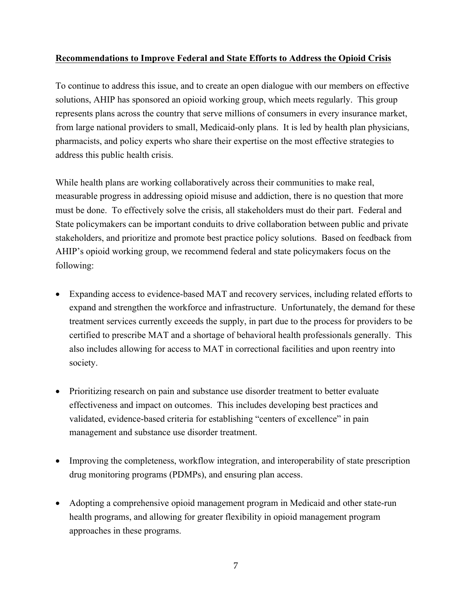## **Recommendations to Improve Federal and State Efforts to Address the Opioid Crisis**

To continue to address this issue, and to create an open dialogue with our members on effective solutions, AHIP has sponsored an opioid working group, which meets regularly. This group represents plans across the country that serve millions of consumers in every insurance market, from large national providers to small, Medicaid-only plans. It is led by health plan physicians, pharmacists, and policy experts who share their expertise on the most effective strategies to address this public health crisis.

While health plans are working collaboratively across their communities to make real, measurable progress in addressing opioid misuse and addiction, there is no question that more must be done. To effectively solve the crisis, all stakeholders must do their part. Federal and State policymakers can be important conduits to drive collaboration between public and private stakeholders, and prioritize and promote best practice policy solutions. Based on feedback from AHIP's opioid working group, we recommend federal and state policymakers focus on the following:

- Expanding access to evidence-based MAT and recovery services, including related efforts to expand and strengthen the workforce and infrastructure. Unfortunately, the demand for these treatment services currently exceeds the supply, in part due to the process for providers to be certified to prescribe MAT and a shortage of behavioral health professionals generally. This also includes allowing for access to MAT in correctional facilities and upon reentry into society.
- Prioritizing research on pain and substance use disorder treatment to better evaluate effectiveness and impact on outcomes. This includes developing best practices and validated, evidence-based criteria for establishing "centers of excellence" in pain management and substance use disorder treatment.
- Improving the completeness, workflow integration, and interoperability of state prescription drug monitoring programs (PDMPs), and ensuring plan access.
- Adopting a comprehensive opioid management program in Medicaid and other state-run health programs, and allowing for greater flexibility in opioid management program approaches in these programs.